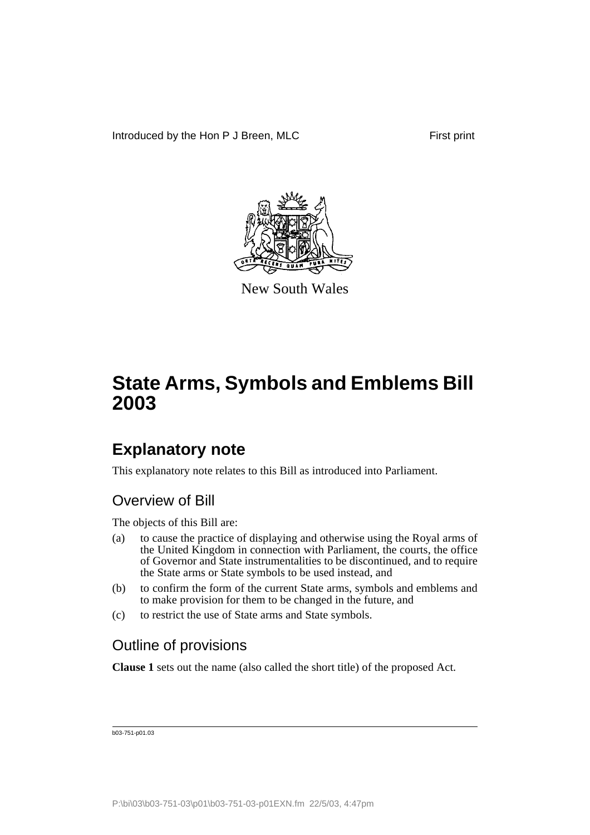Introduced by the Hon P J Breen, MLC First print



New South Wales

# **State Arms, Symbols and Emblems Bill 2003**

## **Explanatory note**

This explanatory note relates to this Bill as introduced into Parliament.

## Overview of Bill

The objects of this Bill are:

- (a) to cause the practice of displaying and otherwise using the Royal arms of the United Kingdom in connection with Parliament, the courts, the office of Governor and State instrumentalities to be discontinued, and to require the State arms or State symbols to be used instead, and
- (b) to confirm the form of the current State arms, symbols and emblems and to make provision for them to be changed in the future, and
- (c) to restrict the use of State arms and State symbols.

## Outline of provisions

**Clause 1** sets out the name (also called the short title) of the proposed Act.

b03-751-p01.03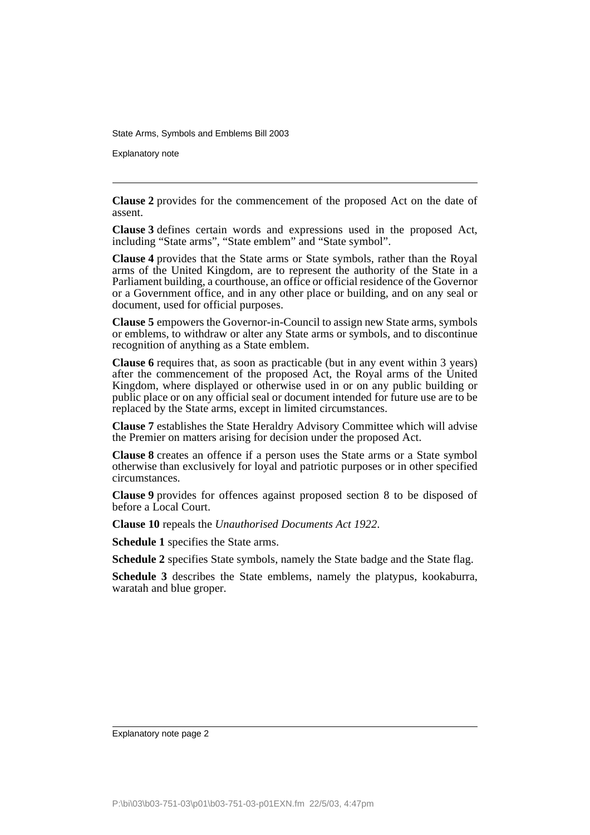Explanatory note

**Clause 2** provides for the commencement of the proposed Act on the date of assent.

**Clause 3** defines certain words and expressions used in the proposed Act, including "State arms", "State emblem" and "State symbol".

**Clause 4** provides that the State arms or State symbols, rather than the Royal arms of the United Kingdom, are to represent the authority of the State in a Parliament building, a courthouse, an office or official residence of the Governor or a Government office, and in any other place or building, and on any seal or document, used for official purposes.

**Clause 5** empowers the Governor-in-Council to assign new State arms, symbols or emblems, to withdraw or alter any State arms or symbols, and to discontinue recognition of anything as a State emblem.

**Clause 6** requires that, as soon as practicable (but in any event within 3 years) after the commencement of the proposed Act, the Royal arms of the United Kingdom, where displayed or otherwise used in or on any public building or public place or on any official seal or document intended for future use are to be replaced by the State arms, except in limited circumstances.

**Clause 7** establishes the State Heraldry Advisory Committee which will advise the Premier on matters arising for decision under the proposed Act.

**Clause 8** creates an offence if a person uses the State arms or a State symbol otherwise than exclusively for loyal and patriotic purposes or in other specified circumstances.

**Clause 9** provides for offences against proposed section 8 to be disposed of before a Local Court.

**Clause 10** repeals the *Unauthorised Documents Act 1922*.

**Schedule 1** specifies the State arms.

**Schedule 2** specifies State symbols, namely the State badge and the State flag.

**Schedule 3** describes the State emblems, namely the platypus, kookaburra, waratah and blue groper.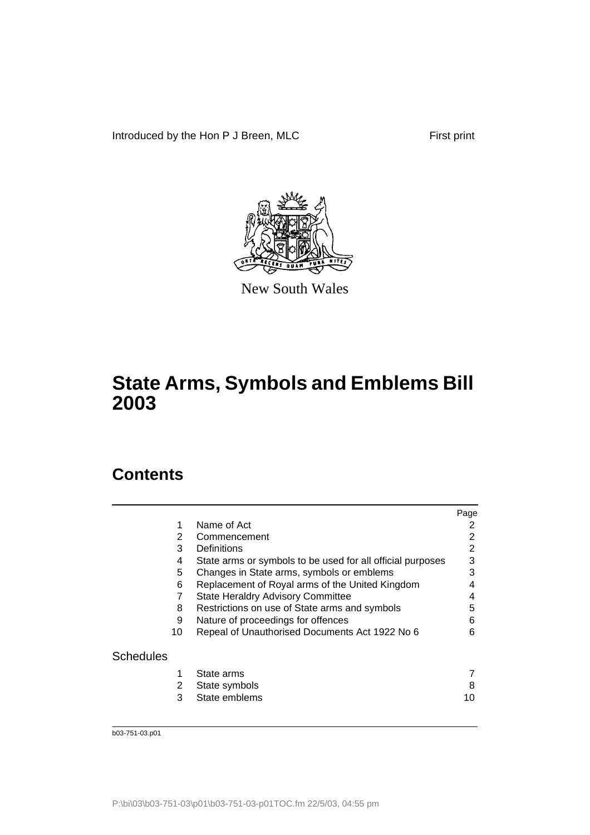Introduced by the Hon P J Breen, MLC First print



New South Wales

# **State Arms, Symbols and Emblems Bill 2003**

## **Contents**

|                  |    |                                                            | Page |
|------------------|----|------------------------------------------------------------|------|
|                  | 1  | Name of Act                                                | 2    |
|                  | 2  | Commencement                                               | 2    |
|                  | 3  | Definitions                                                | 2    |
|                  | 4  | State arms or symbols to be used for all official purposes | 3    |
|                  | 5  | Changes in State arms, symbols or emblems                  | 3    |
|                  | 6  | Replacement of Royal arms of the United Kingdom            | 4    |
|                  |    | <b>State Heraldry Advisory Committee</b>                   | 4    |
|                  | 8  | Restrictions on use of State arms and symbols              | 5    |
|                  | 9  | Nature of proceedings for offences                         | 6    |
|                  | 10 | Repeal of Unauthorised Documents Act 1922 No 6             | 6    |
| <b>Schedules</b> |    |                                                            |      |
|                  |    | State arms                                                 |      |
|                  | 2  | State symbols                                              | 8    |
|                  | 3  | State emblems                                              | 10   |
|                  |    |                                                            |      |

b03-751-03.p01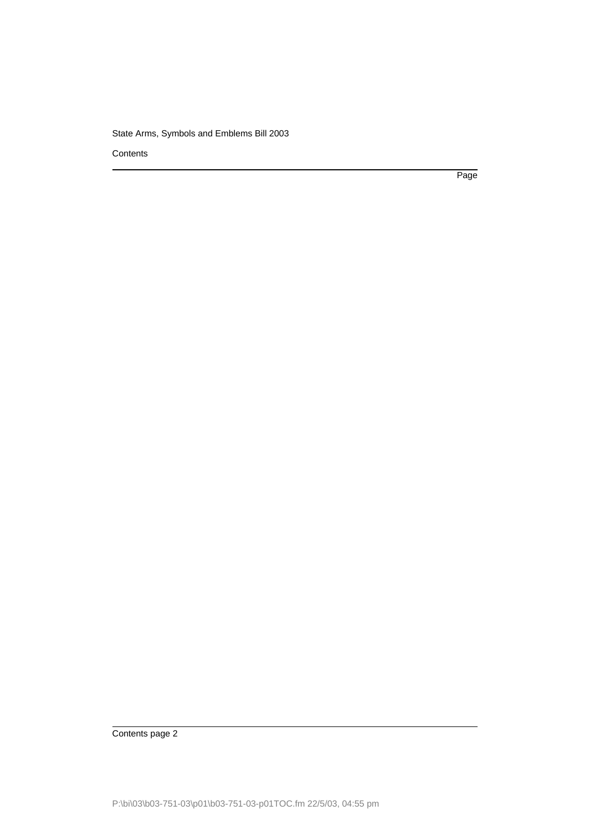**Contents** 

Page

Contents page 2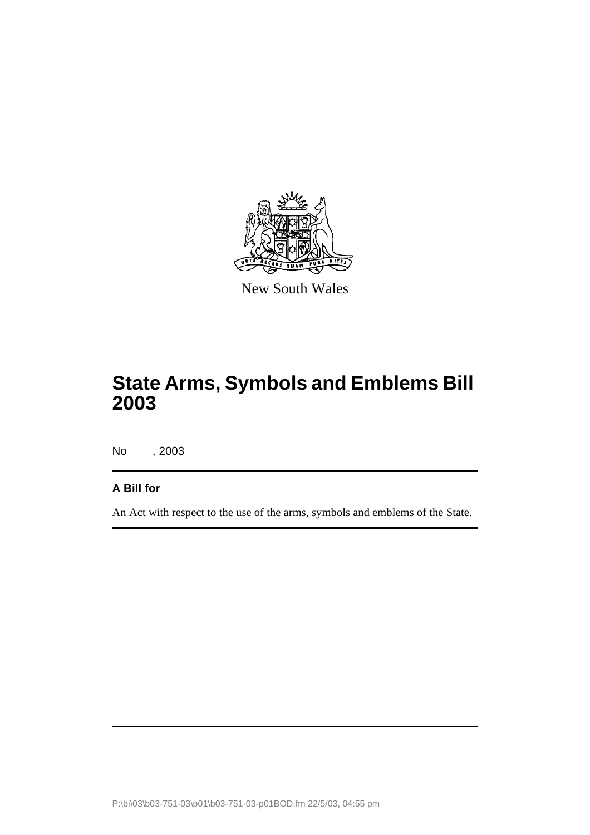

New South Wales

# **State Arms, Symbols and Emblems Bill 2003**

No , 2003

### **A Bill for**

An Act with respect to the use of the arms, symbols and emblems of the State.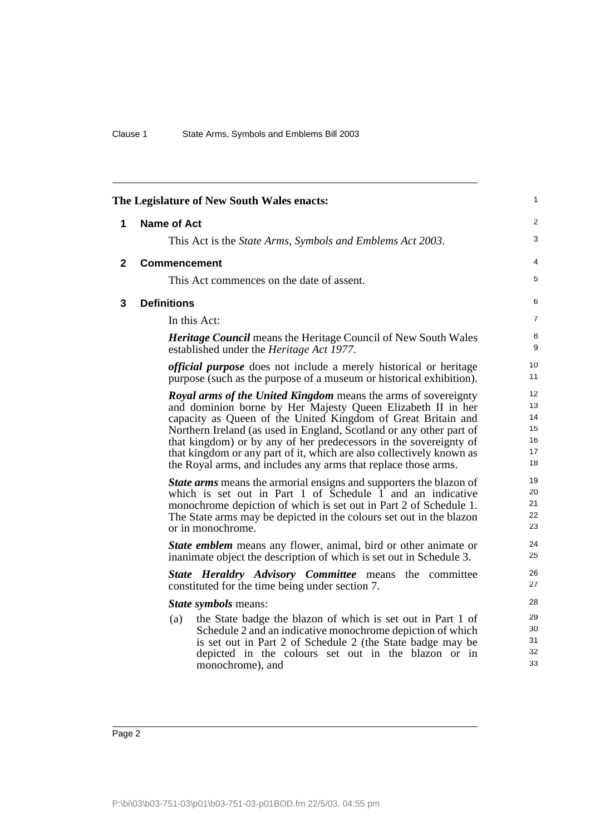<span id="page-5-2"></span><span id="page-5-1"></span><span id="page-5-0"></span>

| The Legislature of New South Wales enacts: |                                                                                                                                                 |                |  |
|--------------------------------------------|-------------------------------------------------------------------------------------------------------------------------------------------------|----------------|--|
| 1                                          | <b>Name of Act</b>                                                                                                                              |                |  |
|                                            | This Act is the State Arms, Symbols and Emblems Act 2003.                                                                                       | 3              |  |
| 2                                          | <b>Commencement</b>                                                                                                                             | 4              |  |
|                                            | This Act commences on the date of assent.                                                                                                       | 5              |  |
| 3                                          | <b>Definitions</b>                                                                                                                              | 6              |  |
|                                            | In this Act:                                                                                                                                    | $\overline{7}$ |  |
|                                            | <b>Heritage Council</b> means the Heritage Council of New South Wales<br>established under the <i>Heritage Act 1977</i> .                       | 8<br>9         |  |
|                                            | <i>official purpose</i> does not include a merely historical or heritage<br>purpose (such as the purpose of a museum or historical exhibition). |                |  |
|                                            | <b>Royal arms of the United Kingdom</b> means the arms of sovereignty                                                                           | 12             |  |
|                                            | and dominion borne by Her Majesty Queen Elizabeth II in her<br>capacity as Queen of the United Kingdom of Great Britain and                     | 13<br>14       |  |
|                                            | Northern Ireland (as used in England, Scotland or any other part of                                                                             | 15             |  |
|                                            | that kingdom) or by any of her predecessors in the sovereignty of                                                                               |                |  |
|                                            | that kingdom or any part of it, which are also collectively known as                                                                            | 17<br>18       |  |
|                                            | the Royal arms, and includes any arms that replace those arms.                                                                                  |                |  |
|                                            | <b>State arms</b> means the armorial ensigns and supporters the blazon of                                                                       | 19             |  |
|                                            | which is set out in Part 1 of Schedule 1 and an indicative                                                                                      | 20<br>21       |  |
|                                            | monochrome depiction of which is set out in Part 2 of Schedule 1.<br>The State arms may be depicted in the colours set out in the blazon        | 22             |  |
|                                            | or in monochrome.                                                                                                                               | 23             |  |
|                                            | <b>State emblem</b> means any flower, animal, bird or other animate or                                                                          | 24             |  |
|                                            | inanimate object the description of which is set out in Schedule 3.                                                                             | 25             |  |
|                                            | State Heraldry Advisory Committee means the committee                                                                                           | 26             |  |
|                                            | constituted for the time being under section 7.<br><i>State symbols</i> means:                                                                  |                |  |
|                                            |                                                                                                                                                 |                |  |
|                                            | the State badge the blazon of which is set out in Part 1 of<br>(a)                                                                              | 29             |  |
|                                            | Schedule 2 and an indicative monochrome depiction of which                                                                                      | 30             |  |
|                                            | is set out in Part 2 of Schedule 2 (the State badge may be                                                                                      | 31             |  |
|                                            | depicted in the colours set out in the blazon or in                                                                                             | 32<br>33       |  |
|                                            | monochrome), and                                                                                                                                |                |  |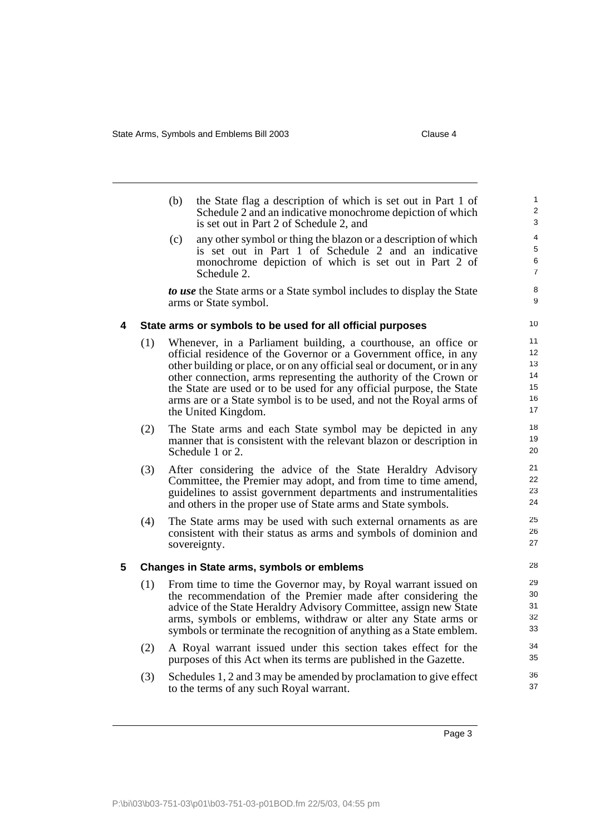<span id="page-6-1"></span><span id="page-6-0"></span>(b) the State flag a description of which is set out in Part 1 of Schedule 2 and an indicative monochrome depiction of which is set out in Part 2 of Schedule 2, and (c) any other symbol or thing the blazon or a description of which is set out in Part 1 of Schedule 2 and an indicative monochrome depiction of which is set out in Part 2 of Schedule 2. *to use* the State arms or a State symbol includes to display the State arms or State symbol. **4 State arms or symbols to be used for all official purposes** (1) Whenever, in a Parliament building, a courthouse, an office or official residence of the Governor or a Government office, in any other building or place, or on any official seal or document, or in any other connection, arms representing the authority of the Crown or the State are used or to be used for any official purpose, the State arms are or a State symbol is to be used, and not the Royal arms of the United Kingdom. (2) The State arms and each State symbol may be depicted in any manner that is consistent with the relevant blazon or description in Schedule 1 or 2. (3) After considering the advice of the State Heraldry Advisory Committee, the Premier may adopt, and from time to time amend, guidelines to assist government departments and instrumentalities and others in the proper use of State arms and State symbols. (4) The State arms may be used with such external ornaments as are consistent with their status as arms and symbols of dominion and sovereignty. **5 Changes in State arms, symbols or emblems** (1) From time to time the Governor may, by Royal warrant issued on the recommendation of the Premier made after considering the advice of the State Heraldry Advisory Committee, assign new State arms, symbols or emblems, withdraw or alter any State arms or symbols or terminate the recognition of anything as a State emblem. (2) A Royal warrant issued under this section takes effect for the purposes of this Act when its terms are published in the Gazette. (3) Schedules 1, 2 and 3 may be amended by proclamation to give effect to the terms of any such Royal warrant. 1  $\overline{2}$ 3 4 5 6 7 8 9 10 11 12 13 14 15 16 17 18 19 20 21 22 23 24 25 26 27 28 29 30 31 32 33 34 35 36 37

Page 3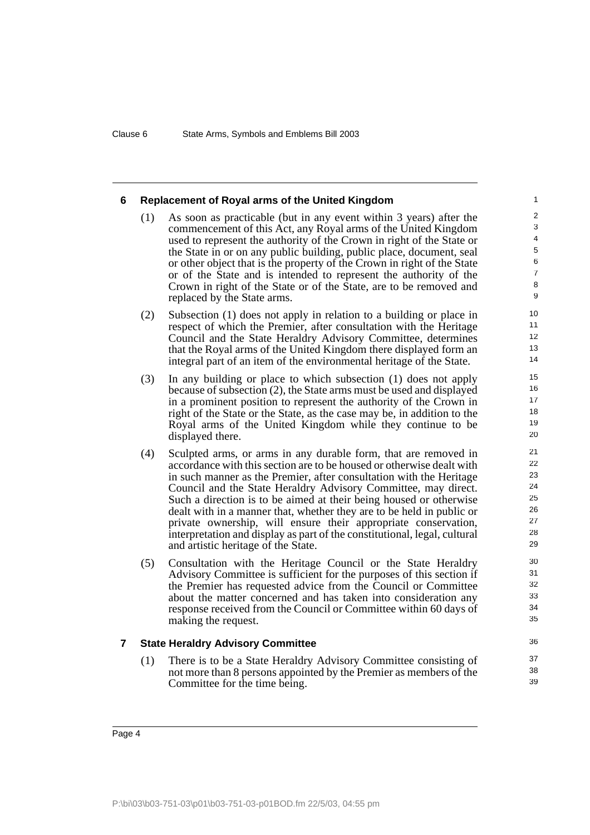### <span id="page-7-0"></span>**6 Replacement of Royal arms of the United Kingdom**

(1) As soon as practicable (but in any event within 3 years) after the commencement of this Act, any Royal arms of the United Kingdom used to represent the authority of the Crown in right of the State or the State in or on any public building, public place, document, seal or other object that is the property of the Crown in right of the State or of the State and is intended to represent the authority of the Crown in right of the State or of the State, are to be removed and replaced by the State arms.

- (2) Subsection (1) does not apply in relation to a building or place in respect of which the Premier, after consultation with the Heritage Council and the State Heraldry Advisory Committee, determines that the Royal arms of the United Kingdom there displayed form an integral part of an item of the environmental heritage of the State.
- (3) In any building or place to which subsection (1) does not apply because of subsection (2), the State arms must be used and displayed in a prominent position to represent the authority of the Crown in right of the State or the State, as the case may be, in addition to the Royal arms of the United Kingdom while they continue to be displayed there.
- (4) Sculpted arms, or arms in any durable form, that are removed in accordance with this section are to be housed or otherwise dealt with in such manner as the Premier, after consultation with the Heritage Council and the State Heraldry Advisory Committee, may direct. Such a direction is to be aimed at their being housed or otherwise dealt with in a manner that, whether they are to be held in public or private ownership, will ensure their appropriate conservation, interpretation and display as part of the constitutional, legal, cultural and artistic heritage of the State.
- (5) Consultation with the Heritage Council or the State Heraldry Advisory Committee is sufficient for the purposes of this section if the Premier has requested advice from the Council or Committee about the matter concerned and has taken into consideration any response received from the Council or Committee within 60 days of making the request.

### <span id="page-7-1"></span>**7 State Heraldry Advisory Committee**

(1) There is to be a State Heraldry Advisory Committee consisting of not more than 8 persons appointed by the Premier as members of the Committee for the time being.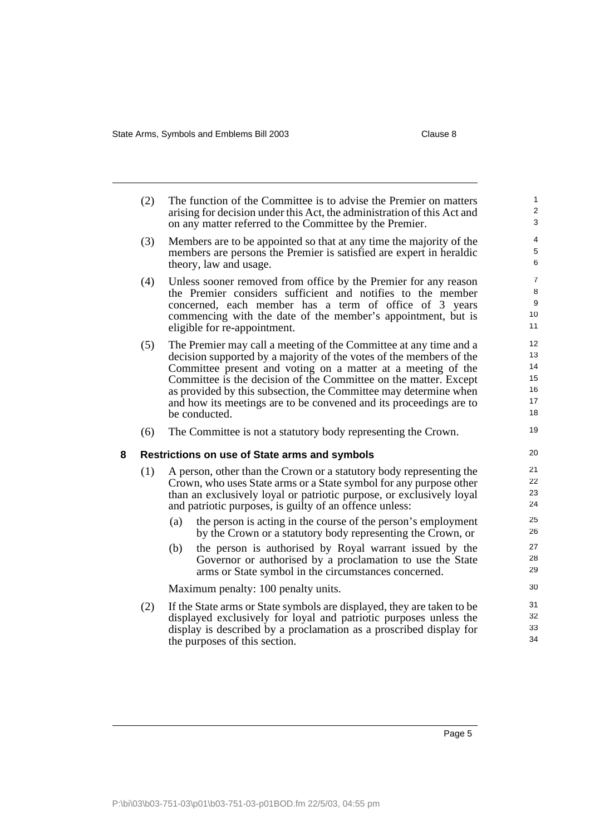<span id="page-8-0"></span>

|   | (2) | The function of the Committee is to advise the Premier on matters<br>arising for decision under this Act, the administration of this Act and<br>on any matter referred to the Committee by the Premier.                                                                                                                                                                                                                                 | 1<br>2<br>3                                           |
|---|-----|-----------------------------------------------------------------------------------------------------------------------------------------------------------------------------------------------------------------------------------------------------------------------------------------------------------------------------------------------------------------------------------------------------------------------------------------|-------------------------------------------------------|
|   | (3) | Members are to be appointed so that at any time the majority of the<br>members are persons the Premier is satisfied are expert in heraldic<br>theory, law and usage.                                                                                                                                                                                                                                                                    | 4<br>5<br>6                                           |
|   | (4) | Unless sooner removed from office by the Premier for any reason<br>the Premier considers sufficient and notifies to the member<br>concerned, each member has a term of office of 3 years<br>commencing with the date of the member's appointment, but is<br>eligible for re-appointment.                                                                                                                                                | $\overline{7}$<br>8<br>9<br>10<br>11                  |
|   | (5) | The Premier may call a meeting of the Committee at any time and a<br>decision supported by a majority of the votes of the members of the<br>Committee present and voting on a matter at a meeting of the<br>Committee is the decision of the Committee on the matter. Except<br>as provided by this subsection, the Committee may determine when<br>and how its meetings are to be convened and its proceedings are to<br>be conducted. | $12 \overline{ }$<br>13<br>14<br>15<br>16<br>17<br>18 |
|   | (6) | The Committee is not a statutory body representing the Crown.                                                                                                                                                                                                                                                                                                                                                                           | 19                                                    |
| 8 |     | <b>Restrictions on use of State arms and symbols</b>                                                                                                                                                                                                                                                                                                                                                                                    | 20                                                    |
|   | (1) | A person, other than the Crown or a statutory body representing the<br>Crown, who uses State arms or a State symbol for any purpose other<br>than an exclusively loyal or patriotic purpose, or exclusively loyal<br>and patriotic purposes, is guilty of an offence unless:<br>the person is acting in the course of the person's employment<br>(a)                                                                                    | 21<br>22<br>23<br>24<br>25                            |
|   |     | by the Crown or a statutory body representing the Crown, or<br>the person is authorised by Royal warrant issued by the<br>(b)<br>Governor or authorised by a proclamation to use the State<br>arms or State symbol in the circumstances concerned.                                                                                                                                                                                      | 26<br>27<br>28<br>29                                  |
|   |     | Maximum penalty: 100 penalty units.                                                                                                                                                                                                                                                                                                                                                                                                     | 30                                                    |
|   | (2) | If the State arms or State symbols are displayed, they are taken to be<br>displayed exclusively for loyal and patriotic purposes unless the<br>display is described by a proclamation as a proscribed display for<br>the purposes of this section.                                                                                                                                                                                      | 31<br>32<br>33<br>34                                  |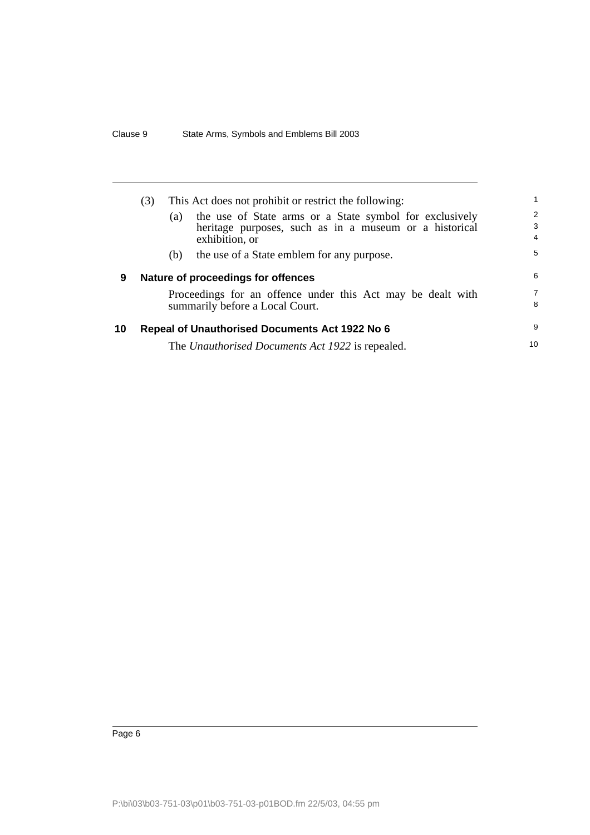<span id="page-9-1"></span><span id="page-9-0"></span>

|    | (3)                                                                                            | This Act does not prohibit or restrict the following:                                                                               |                                       |
|----|------------------------------------------------------------------------------------------------|-------------------------------------------------------------------------------------------------------------------------------------|---------------------------------------|
|    | (a)                                                                                            | the use of State arms or a State symbol for exclusively<br>heritage purposes, such as in a museum or a historical<br>exhibition, or | $\overline{2}$<br>3<br>$\overline{4}$ |
|    | (b)                                                                                            | the use of a State emblem for any purpose.                                                                                          | 5                                     |
| 9  |                                                                                                | Nature of proceedings for offences                                                                                                  | 6                                     |
|    | Proceedings for an offence under this Act may be dealt with<br>summarily before a Local Court. |                                                                                                                                     | 7<br>8                                |
| 10 |                                                                                                | Repeal of Unauthorised Documents Act 1922 No 6                                                                                      | 9                                     |
|    |                                                                                                | The Unauthorised Documents Act 1922 is repealed.                                                                                    | 10                                    |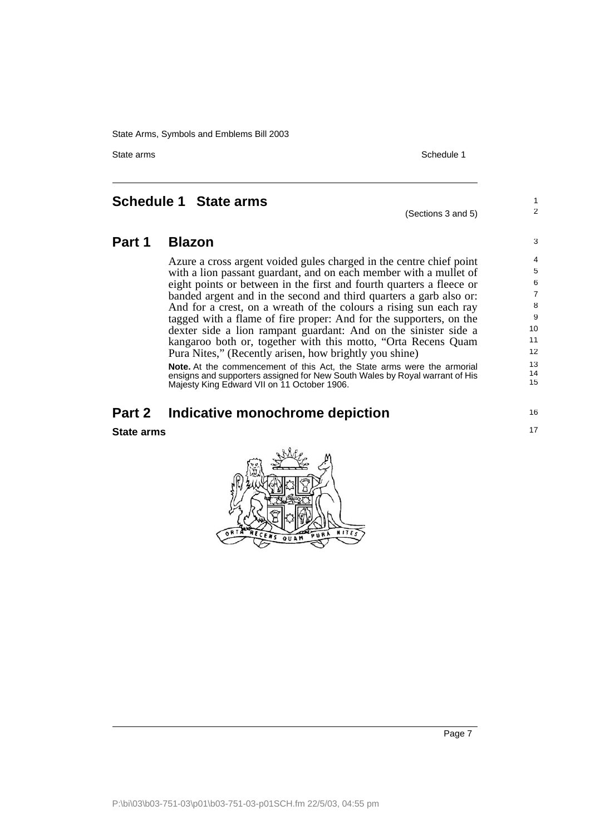State arms Schedule 1 and Schedule 1 and Schedule 1 and Schedule 1 and Schedule 1 and Schedule 1 and Schedule 1

(Sections 3 and 5)

1  $\mathfrak{p}$ 

16 17

## <span id="page-10-0"></span>**Schedule 1 State arms**

### **Part 1 Blazon**

Azure a cross argent voided gules charged in the centre chief point with a lion passant guardant, and on each member with a mullet of eight points or between in the first and fourth quarters a fleece or banded argent and in the second and third quarters a garb also or: And for a crest, on a wreath of the colours a rising sun each ray tagged with a flame of fire proper: And for the supporters, on the dexter side a lion rampant guardant: And on the sinister side a kangaroo both or, together with this motto, "Orta Recens Quam Pura Nites," (Recently arisen, how brightly you shine)

**Note.** At the commencement of this Act, the State arms were the armorial ensigns and supporters assigned for New South Wales by Royal warrant of His Majesty King Edward VII on 11 October 1906.

## **Part 2 Indicative monochrome depiction**

**State arms**

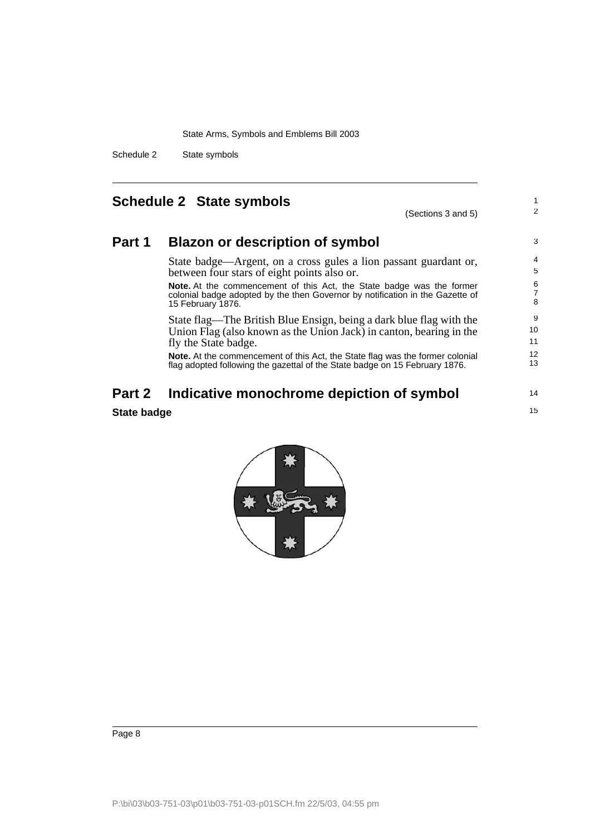Schedule 2 State symbols

### <span id="page-11-0"></span>**Schedule 2 State symbols**

(Sections 3 and 5)

1 2

14 15

### **Part 1 Blazon or description of symbol**

State badge—Argent, on a cross gules a lion passant guardant or, between four stars of eight points also or.

**Note.** At the commencement of this Act, the State badge was the former colonial badge adopted by the then Governor by notification in the Gazette of 15 February 1876.

State flag—The British Blue Ensign, being a dark blue flag with the Union Flag (also known as the Union Jack) in canton, bearing in the fly the State badge.

**Note.** At the commencement of this Act, the State flag was the former colonial flag adopted following the gazettal of the State badge on 15 February 1876.

## **Part 2 Indicative monochrome depiction of symbol**

### **State badge**

Page 8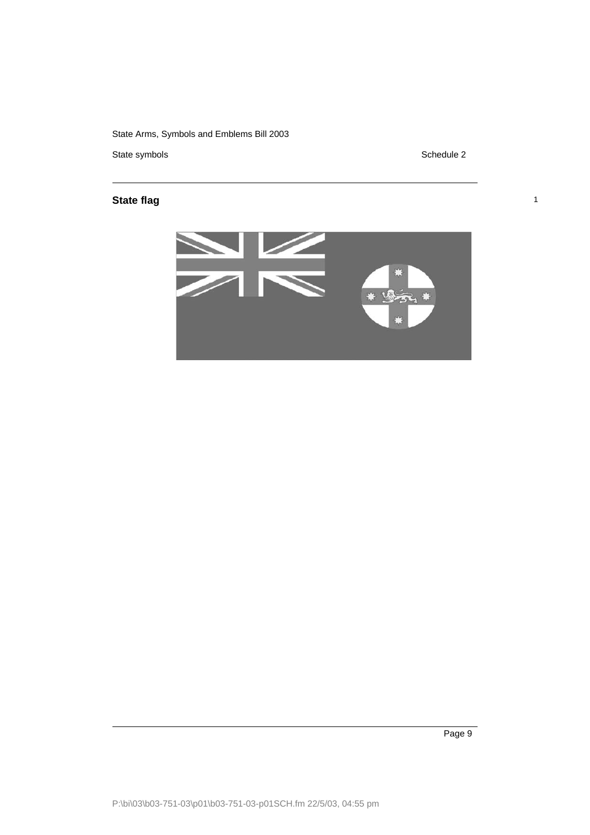State symbols **Schedule 2** Schedule 2

### **State flag** 1 and 1 and 1 and 1 and 1 and 1 and 1 and 1 and 1 and 1 and 1 and 1 and 1 and 1 and 1 and 1 and 1 and 1 and 1 and 1 and 1 and 1 and 1 and 1 and 1 and 1 and 1 and 1 and 1 and 1 and 1 and 1 and 1 and 1 and 1 and



Page 9